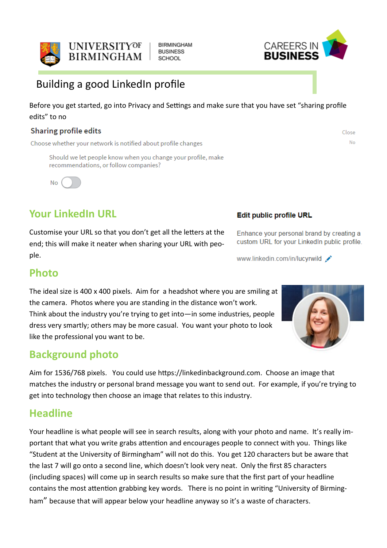

Building a good LinkedIn profile

Before you get started, go into Privacy and Settings and make sure that you have set "sharing profile edits" to no

**BIRMINGHAM BUSINESS** 

**SCHOOL** 

#### Sharing profile edits

Choose whether your network is notified about profile changes

Should we let people know when you change your profile, make recommendations, or follow companies?

**No** 

# **Your LinkedIn URL**

Customise your URL so that you don't get all the letters at the end; this will make it neater when sharing your URL with people.

#### Edit public profile URL

Enhance your personal brand by creating a custom URL for your LinkedIn public profile.

www.linkedin.com/in/lucyrwild

### **Photo**

The ideal size is 400 x 400 pixels. Aim for a headshot where you are smiling at the camera. Photos where you are standing in the distance won't work. Think about the industry you're trying to get into—in some industries, people dress very smartly; others may be more casual. You want your photo to look like the professional you want to be.

## **Background photo**

Aim for 1536/768 pixels. You could use https://linkedinbackground.com. Choose an image that matches the industry or personal brand message you want to send out. For example, if you're trying to get into technology then choose an image that relates to this industry.

### **Headline**

Your headline is what people will see in search results, along with your photo and name. It's really important that what you write grabs attention and encourages people to connect with you. Things like "Student at the University of Birmingham" will not do this. You get 120 characters but be aware that the last 7 will go onto a second line, which doesn't look very neat. Only the first 85 characters (including spaces) will come up in search results so make sure that the first part of your headline contains the most attention grabbing key words. There is no point in writing "University of Birmingham" because that will appear below your headline anyway so it's a waste of characters.





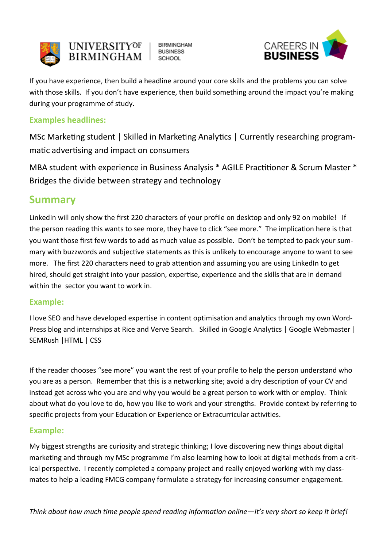

**BIRMINGHAM BUSINESS SCHOOL** 



If you have experience, then build a headline around your core skills and the problems you can solve with those skills. If you don't have experience, then build something around the impact you're making during your programme of study.

### **Examples headlines:**

MSc Marketing student | Skilled in Marketing Analytics | Currently researching programmatic advertising and impact on consumers

MBA student with experience in Business Analysis \* AGILE Practitioner & Scrum Master \* Bridges the divide between strategy and technology

### **Summary**

LinkedIn will only show the first 220 characters of your profile on desktop and only 92 on mobile! If the person reading this wants to see more, they have to click "see more." The implication here is that you want those first few words to add as much value as possible. Don't be tempted to pack your summary with buzzwords and subjective statements as this is unlikely to encourage anyone to want to see more. The first 220 characters need to grab attention and assuming you are using LinkedIn to get hired, should get straight into your passion, expertise, experience and the skills that are in demand within the sector you want to work in.

#### **Example:**

I love SEO and have developed expertise in content optimisation and analytics through my own Word-Press blog and internships at Rice and Verve Search. Skilled in Google Analytics | Google Webmaster | SEMRush |HTML | CSS

If the reader chooses "see more" you want the rest of your profile to help the person understand who you are as a person. Remember that this is a networking site; avoid a dry description of your CV and instead get across who you are and why you would be a great person to work with or employ. Think about what do you love to do, how you like to work and your strengths. Provide context by referring to specific projects from your Education or Experience or Extracurricular activities.

#### **Example:**

My biggest strengths are curiosity and strategic thinking; I love discovering new things about digital marketing and through my MSc programme I'm also learning how to look at digital methods from a critical perspective. I recently completed a company project and really enjoyed working with my classmates to help a leading FMCG company formulate a strategy for increasing consumer engagement.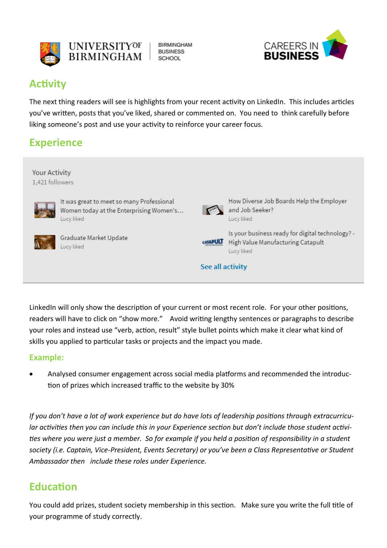



### **Activity**

The next thing readers will see is highlights from your recent activity on LinkedIn. This includes articles you've written, posts that you've liked, shared or commented on. You need to think carefully before liking someone's post and use your activity to reinforce your career focus.

# **Experience**



LinkedIn will only show the description of your current or most recent role. For your other positions, readers will have to click on "show more." Avoid writing lengthy sentences or paragraphs to describe your roles and instead use "verb, action, result" style bullet points which make it clear what kind of skills you applied to particular tasks or projects and the impact you made.

#### **Example:**

 Analysed consumer engagement across social media platforms and recommended the introduction of prizes which increased traffic to the website by 30%

*If you don't have a lot of work experience but do have lots of leadership positions through extracurricular activities then you can include this in your Experience section but don't include those student activities where you were just a member. So for example if you held a position of responsibility in a student society (i.e. Captain, Vice-President, Events Secretary) or you've been a Class Representative or Student Ambassador then include these roles under Experience.*

## **Education**

You could add prizes, student society membership in this section. Make sure you write the full title of your programme of study correctly.